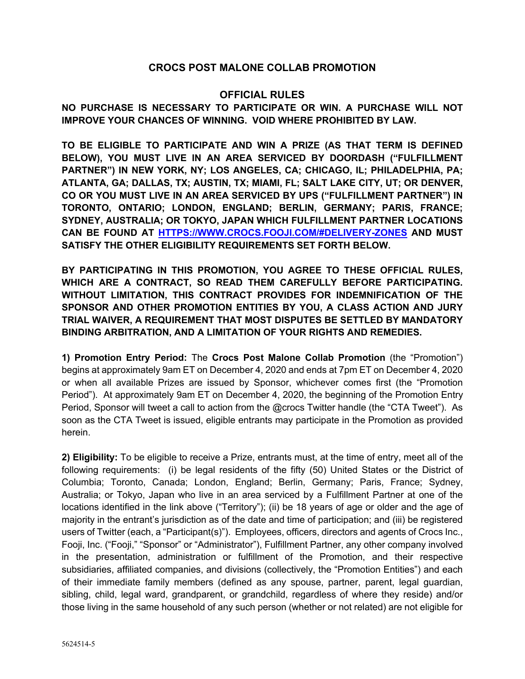## **CROCS POST MALONE COLLAB PROMOTION**

## **OFFICIAL RULES**

**NO PURCHASE IS NECESSARY TO PARTICIPATE OR WIN. A PURCHASE WILL NOT IMPROVE YOUR CHANCES OF WINNING. VOID WHERE PROHIBITED BY LAW.**

**TO BE ELIGIBLE TO PARTICIPATE AND WIN A PRIZE (AS THAT TERM IS DEFINED BELOW), YOU MUST LIVE IN AN AREA SERVICED BY DOORDASH ("FULFILLMENT PARTNER") IN NEW YORK, NY; LOS ANGELES, CA; CHICAGO, IL; PHILADELPHIA, PA; ATLANTA, GA; DALLAS, TX; AUSTIN, TX; MIAMI, FL; SALT LAKE CITY, UT; OR DENVER, CO OR YOU MUST LIVE IN AN AREA SERVICED BY UPS ("FULFILLMENT PARTNER") IN TORONTO, ONTARIO; LONDON, ENGLAND; BERLIN, GERMANY; PARIS, FRANCE; SYDNEY, AUSTRALIA; OR TOKYO, JAPAN WHICH FULFILLMENT PARTNER LOCATIONS CAN BE FOUND AT HTTPS://WWW.CROCS.FOOJI.COM/#DELIVERY-ZONES AND MUST SATISFY THE OTHER ELIGIBILITY REQUIREMENTS SET FORTH BELOW.**

**BY PARTICIPATING IN THIS PROMOTION, YOU AGREE TO THESE OFFICIAL RULES, WHICH ARE A CONTRACT, SO READ THEM CAREFULLY BEFORE PARTICIPATING. WITHOUT LIMITATION, THIS CONTRACT PROVIDES FOR INDEMNIFICATION OF THE SPONSOR AND OTHER PROMOTION ENTITIES BY YOU, A CLASS ACTION AND JURY TRIAL WAIVER, A REQUIREMENT THAT MOST DISPUTES BE SETTLED BY MANDATORY BINDING ARBITRATION, AND A LIMITATION OF YOUR RIGHTS AND REMEDIES.**

**1) Promotion Entry Period:** The **Crocs Post Malone Collab Promotion** (the "Promotion") begins at approximately 9am ET on December 4, 2020 and ends at 7pm ET on December 4, 2020 or when all available Prizes are issued by Sponsor, whichever comes first (the "Promotion Period"). At approximately 9am ET on December 4, 2020, the beginning of the Promotion Entry Period, Sponsor will tweet a call to action from the @crocs Twitter handle (the "CTA Tweet"). As soon as the CTA Tweet is issued, eligible entrants may participate in the Promotion as provided herein.

**2) Eligibility:** To be eligible to receive a Prize, entrants must, at the time of entry, meet all of the following requirements: (i) be legal residents of the fifty (50) United States or the District of Columbia; Toronto, Canada; London, England; Berlin, Germany; Paris, France; Sydney, Australia; or Tokyo, Japan who live in an area serviced by a Fulfillment Partner at one of the locations identified in the link above ("Territory"); (ii) be 18 years of age or older and the age of majority in the entrant's jurisdiction as of the date and time of participation; and (iii) be registered users of Twitter (each, a "Participant(s)"). Employees, officers, directors and agents of Crocs Inc., Fooji, Inc. ("Fooji," "Sponsor" or "Administrator"), Fulfillment Partner, any other company involved in the presentation, administration or fulfillment of the Promotion, and their respective subsidiaries, affiliated companies, and divisions (collectively, the "Promotion Entities") and each of their immediate family members (defined as any spouse, partner, parent, legal guardian, sibling, child, legal ward, grandparent, or grandchild, regardless of where they reside) and/or those living in the same household of any such person (whether or not related) are not eligible for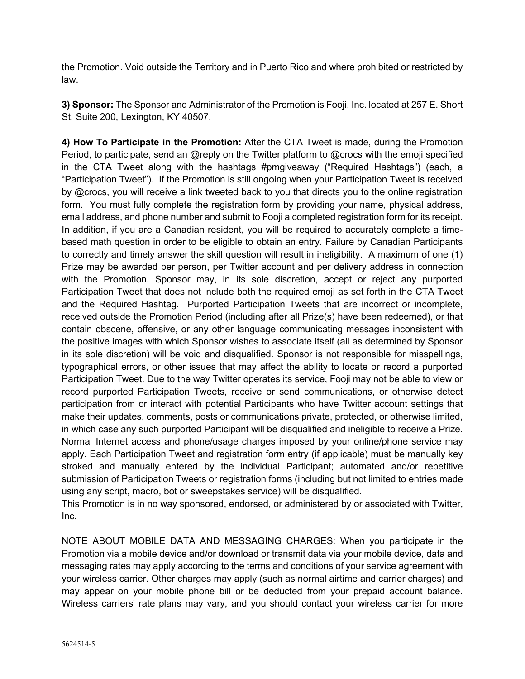the Promotion. Void outside the Territory and in Puerto Rico and where prohibited or restricted by law.

**3) Sponsor:** The Sponsor and Administrator of the Promotion is Fooji, Inc. located at 257 E. Short St. Suite 200, Lexington, KY 40507.

**4) How To Participate in the Promotion:** After the CTA Tweet is made, during the Promotion Period, to participate, send an @reply on the Twitter platform to @crocs with the emoji specified in the CTA Tweet along with the hashtags #pmgiveaway ("Required Hashtags") (each, a "Participation Tweet"). If the Promotion is still ongoing when your Participation Tweet is received by @crocs, you will receive a link tweeted back to you that directs you to the online registration form. You must fully complete the registration form by providing your name, physical address, email address, and phone number and submit to Fooji a completed registration form for its receipt. In addition, if you are a Canadian resident, you will be required to accurately complete a timebased math question in order to be eligible to obtain an entry. Failure by Canadian Participants to correctly and timely answer the skill question will result in ineligibility. A maximum of one (1) Prize may be awarded per person, per Twitter account and per delivery address in connection with the Promotion. Sponsor may, in its sole discretion, accept or reject any purported Participation Tweet that does not include both the required emoji as set forth in the CTA Tweet and the Required Hashtag. Purported Participation Tweets that are incorrect or incomplete, received outside the Promotion Period (including after all Prize(s) have been redeemed), or that contain obscene, offensive, or any other language communicating messages inconsistent with the positive images with which Sponsor wishes to associate itself (all as determined by Sponsor in its sole discretion) will be void and disqualified. Sponsor is not responsible for misspellings, typographical errors, or other issues that may affect the ability to locate or record a purported Participation Tweet. Due to the way Twitter operates its service, Fooji may not be able to view or record purported Participation Tweets, receive or send communications, or otherwise detect participation from or interact with potential Participants who have Twitter account settings that make their updates, comments, posts or communications private, protected, or otherwise limited, in which case any such purported Participant will be disqualified and ineligible to receive a Prize. Normal Internet access and phone/usage charges imposed by your online/phone service may apply. Each Participation Tweet and registration form entry (if applicable) must be manually key stroked and manually entered by the individual Participant; automated and/or repetitive submission of Participation Tweets or registration forms (including but not limited to entries made using any script, macro, bot or sweepstakes service) will be disqualified.

This Promotion is in no way sponsored, endorsed, or administered by or associated with Twitter, Inc.

NOTE ABOUT MOBILE DATA AND MESSAGING CHARGES: When you participate in the Promotion via a mobile device and/or download or transmit data via your mobile device, data and messaging rates may apply according to the terms and conditions of your service agreement with your wireless carrier. Other charges may apply (such as normal airtime and carrier charges) and may appear on your mobile phone bill or be deducted from your prepaid account balance. Wireless carriers' rate plans may vary, and you should contact your wireless carrier for more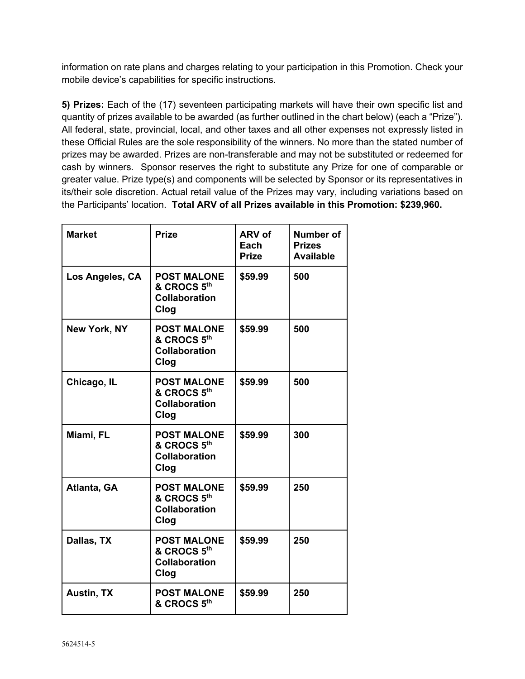information on rate plans and charges relating to your participation in this Promotion. Check your mobile device's capabilities for specific instructions.

**5) Prizes:** Each of the (17) seventeen participating markets will have their own specific list and quantity of prizes available to be awarded (as further outlined in the chart below) (each a "Prize"). All federal, state, provincial, local, and other taxes and all other expenses not expressly listed in these Official Rules are the sole responsibility of the winners. No more than the stated number of prizes may be awarded. Prizes are non-transferable and may not be substituted or redeemed for cash by winners. Sponsor reserves the right to substitute any Prize for one of comparable or greater value. Prize type(s) and components will be selected by Sponsor or its representatives in its/their sole discretion. Actual retail value of the Prizes may vary, including variations based on the Participants' location. **Total ARV of all Prizes available in this Promotion: \$239,960.**

| <b>Market</b>       | <b>Prize</b>                                                      | ARV of<br>Each<br><b>Prize</b> | Number of<br><b>Prizes</b><br><b>Available</b> |
|---------------------|-------------------------------------------------------------------|--------------------------------|------------------------------------------------|
| Los Angeles, CA     | <b>POST MALONE</b><br>& CROCS 5th<br><b>Collaboration</b><br>Clog | \$59.99                        | 500                                            |
| <b>New York, NY</b> | <b>POST MALONE</b><br>& CROCS 5th<br><b>Collaboration</b><br>Clog | \$59.99                        | 500                                            |
| Chicago, IL         | <b>POST MALONE</b><br>& CROCS 5th<br><b>Collaboration</b><br>Clog | \$59.99                        | 500                                            |
| Miami, FL           | <b>POST MALONE</b><br>& CROCS 5th<br><b>Collaboration</b><br>Clog | \$59.99                        | 300                                            |
| Atlanta, GA         | <b>POST MALONE</b><br>& CROCS 5th<br><b>Collaboration</b><br>Clog | \$59.99                        | 250                                            |
| Dallas, TX          | <b>POST MALONE</b><br>& CROCS 5th<br><b>Collaboration</b><br>Clog | \$59.99                        | 250                                            |
| <b>Austin, TX</b>   | <b>POST MALONE</b><br>& CROCS 5th                                 | \$59.99                        | 250                                            |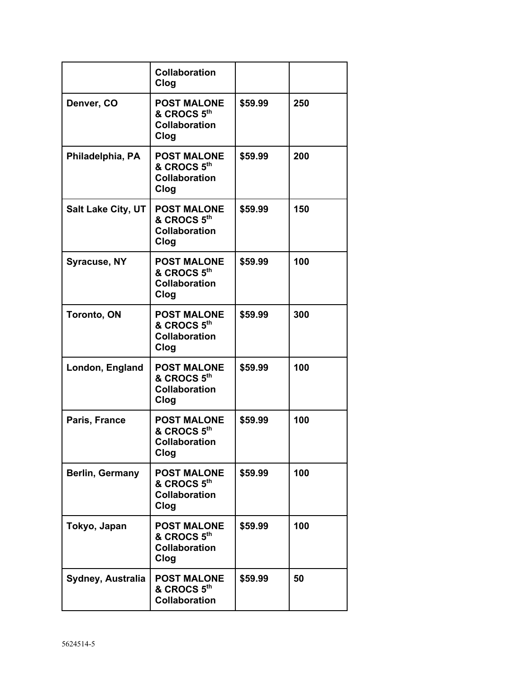|                           | <b>Collaboration</b><br>Clog                                      |         |     |
|---------------------------|-------------------------------------------------------------------|---------|-----|
| Denver, CO                | <b>POST MALONE</b><br>& CROCS 5th<br><b>Collaboration</b><br>Clog | \$59.99 | 250 |
| Philadelphia, PA          | <b>POST MALONE</b><br>& CROCS 5th<br><b>Collaboration</b><br>Clog | \$59.99 | 200 |
| <b>Salt Lake City, UT</b> | <b>POST MALONE</b><br>& CROCS 5th<br><b>Collaboration</b><br>Clog | \$59.99 | 150 |
| <b>Syracuse, NY</b>       | <b>POST MALONE</b><br>& CROCS 5th<br><b>Collaboration</b><br>Clog | \$59.99 | 100 |
| <b>Toronto, ON</b>        | <b>POST MALONE</b><br>& CROCS 5th<br><b>Collaboration</b><br>Clog | \$59.99 | 300 |
| London, England           | <b>POST MALONE</b><br>& CROCS 5th<br><b>Collaboration</b><br>Clog | \$59.99 | 100 |
| Paris, France             | <b>POST MALONE</b><br>& CROCS 5th<br><b>Collaboration</b><br>Clog | \$59.99 | 100 |
| <b>Berlin, Germany</b>    | <b>POST MALONE</b><br>& CROCS 5th<br><b>Collaboration</b><br>Clog | \$59.99 | 100 |
| Tokyo, Japan              | <b>POST MALONE</b><br>& CROCS 5th<br><b>Collaboration</b><br>Clog | \$59.99 | 100 |
| Sydney, Australia         | <b>POST MALONE</b><br>& CROCS 5th<br><b>Collaboration</b>         | \$59.99 | 50  |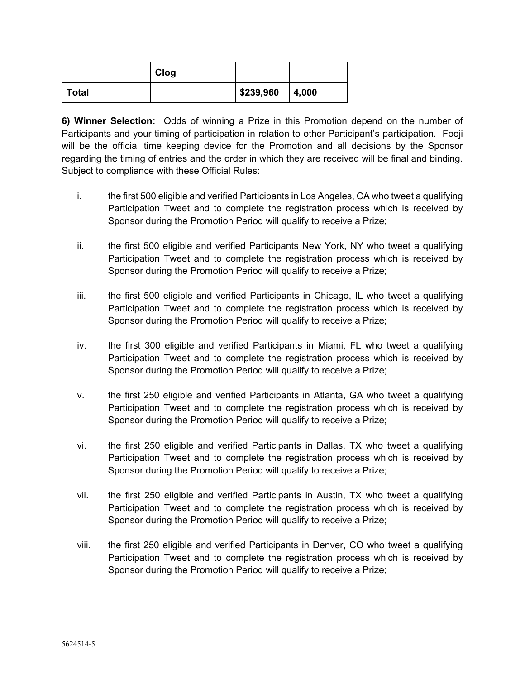|       | Clog |           |       |
|-------|------|-----------|-------|
| Total |      | \$239,960 | 4,000 |

**6) Winner Selection:** Odds of winning a Prize in this Promotion depend on the number of Participants and your timing of participation in relation to other Participant's participation. Fooji will be the official time keeping device for the Promotion and all decisions by the Sponsor regarding the timing of entries and the order in which they are received will be final and binding. Subject to compliance with these Official Rules:

- i. the first 500 eligible and verified Participants in Los Angeles, CA who tweet a qualifying Participation Tweet and to complete the registration process which is received by Sponsor during the Promotion Period will qualify to receive a Prize;
- ii. the first 500 eligible and verified Participants New York, NY who tweet a qualifying Participation Tweet and to complete the registration process which is received by Sponsor during the Promotion Period will qualify to receive a Prize;
- iii. the first 500 eligible and verified Participants in Chicago, IL who tweet a qualifying Participation Tweet and to complete the registration process which is received by Sponsor during the Promotion Period will qualify to receive a Prize;
- iv. the first 300 eligible and verified Participants in Miami, FL who tweet a qualifying Participation Tweet and to complete the registration process which is received by Sponsor during the Promotion Period will qualify to receive a Prize;
- v. the first 250 eligible and verified Participants in Atlanta, GA who tweet a qualifying Participation Tweet and to complete the registration process which is received by Sponsor during the Promotion Period will qualify to receive a Prize;
- vi. the first 250 eligible and verified Participants in Dallas, TX who tweet a qualifying Participation Tweet and to complete the registration process which is received by Sponsor during the Promotion Period will qualify to receive a Prize;
- vii. the first 250 eligible and verified Participants in Austin, TX who tweet a qualifying Participation Tweet and to complete the registration process which is received by Sponsor during the Promotion Period will qualify to receive a Prize;
- viii. the first 250 eligible and verified Participants in Denver, CO who tweet a qualifying Participation Tweet and to complete the registration process which is received by Sponsor during the Promotion Period will qualify to receive a Prize;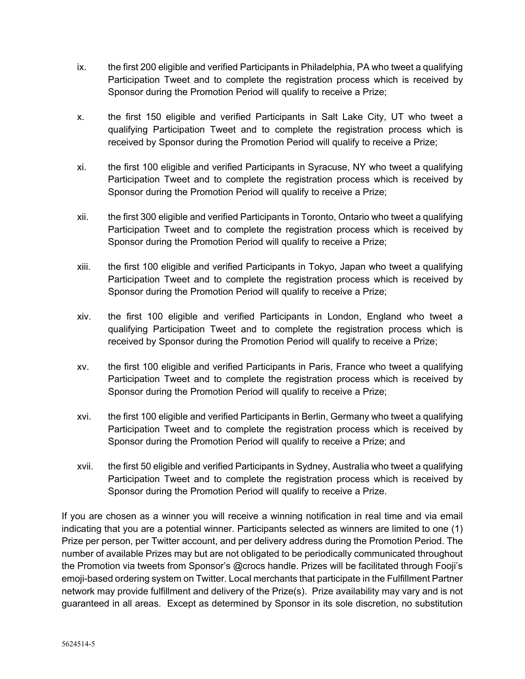- ix. the first 200 eligible and verified Participants in Philadelphia, PA who tweet a qualifying Participation Tweet and to complete the registration process which is received by Sponsor during the Promotion Period will qualify to receive a Prize;
- x. the first 150 eligible and verified Participants in Salt Lake City, UT who tweet a qualifying Participation Tweet and to complete the registration process which is received by Sponsor during the Promotion Period will qualify to receive a Prize;
- xi. the first 100 eligible and verified Participants in Syracuse, NY who tweet a qualifying Participation Tweet and to complete the registration process which is received by Sponsor during the Promotion Period will qualify to receive a Prize;
- xii. the first 300 eligible and verified Participants in Toronto, Ontario who tweet a qualifying Participation Tweet and to complete the registration process which is received by Sponsor during the Promotion Period will qualify to receive a Prize;
- xiii. the first 100 eligible and verified Participants in Tokyo, Japan who tweet a qualifying Participation Tweet and to complete the registration process which is received by Sponsor during the Promotion Period will qualify to receive a Prize;
- xiv. the first 100 eligible and verified Participants in London, England who tweet a qualifying Participation Tweet and to complete the registration process which is received by Sponsor during the Promotion Period will qualify to receive a Prize;
- xv. the first 100 eligible and verified Participants in Paris, France who tweet a qualifying Participation Tweet and to complete the registration process which is received by Sponsor during the Promotion Period will qualify to receive a Prize;
- xvi. the first 100 eligible and verified Participants in Berlin, Germany who tweet a qualifying Participation Tweet and to complete the registration process which is received by Sponsor during the Promotion Period will qualify to receive a Prize; and
- xvii. the first 50 eligible and verified Participants in Sydney, Australia who tweet a qualifying Participation Tweet and to complete the registration process which is received by Sponsor during the Promotion Period will qualify to receive a Prize.

If you are chosen as a winner you will receive a winning notification in real time and via email indicating that you are a potential winner. Participants selected as winners are limited to one (1) Prize per person, per Twitter account, and per delivery address during the Promotion Period. The number of available Prizes may but are not obligated to be periodically communicated throughout the Promotion via tweets from Sponsor's @crocs handle. Prizes will be facilitated through Fooji's emoji-based ordering system on Twitter. Local merchants that participate in the Fulfillment Partner network may provide fulfillment and delivery of the Prize(s). Prize availability may vary and is not guaranteed in all areas. Except as determined by Sponsor in its sole discretion, no substitution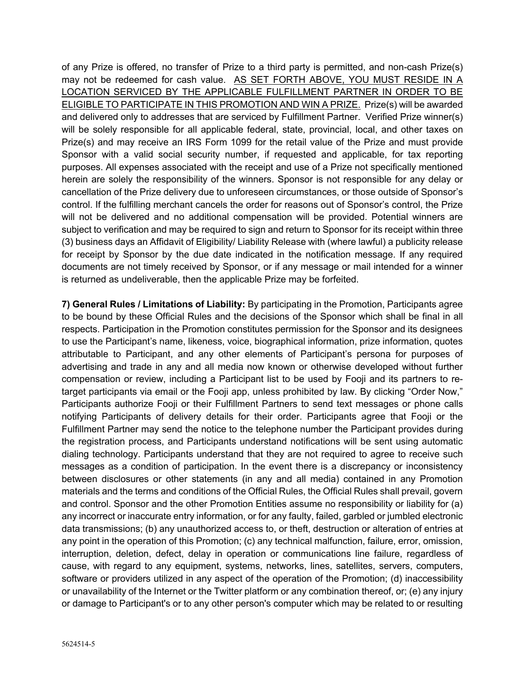of any Prize is offered, no transfer of Prize to a third party is permitted, and non-cash Prize(s) may not be redeemed for cash value. AS SET FORTH ABOVE, YOU MUST RESIDE IN A LOCATION SERVICED BY THE APPLICABLE FULFILLMENT PARTNER IN ORDER TO BE ELIGIBLE TO PARTICIPATE IN THIS PROMOTION AND WIN A PRIZE. Prize(s) will be awarded and delivered only to addresses that are serviced by Fulfillment Partner. Verified Prize winner(s) will be solely responsible for all applicable federal, state, provincial, local, and other taxes on Prize(s) and may receive an IRS Form 1099 for the retail value of the Prize and must provide Sponsor with a valid social security number, if requested and applicable, for tax reporting purposes. All expenses associated with the receipt and use of a Prize not specifically mentioned herein are solely the responsibility of the winners. Sponsor is not responsible for any delay or cancellation of the Prize delivery due to unforeseen circumstances, or those outside of Sponsor's control. If the fulfilling merchant cancels the order for reasons out of Sponsor's control, the Prize will not be delivered and no additional compensation will be provided. Potential winners are subject to verification and may be required to sign and return to Sponsor for its receipt within three (3) business days an Affidavit of Eligibility/ Liability Release with (where lawful) a publicity release for receipt by Sponsor by the due date indicated in the notification message. If any required documents are not timely received by Sponsor, or if any message or mail intended for a winner is returned as undeliverable, then the applicable Prize may be forfeited.

**7) General Rules / Limitations of Liability:** By participating in the Promotion, Participants agree to be bound by these Official Rules and the decisions of the Sponsor which shall be final in all respects. Participation in the Promotion constitutes permission for the Sponsor and its designees to use the Participant's name, likeness, voice, biographical information, prize information, quotes attributable to Participant, and any other elements of Participant's persona for purposes of advertising and trade in any and all media now known or otherwise developed without further compensation or review, including a Participant list to be used by Fooji and its partners to retarget participants via email or the Fooji app, unless prohibited by law. By clicking "Order Now," Participants authorize Fooji or their Fulfillment Partners to send text messages or phone calls notifying Participants of delivery details for their order. Participants agree that Fooji or the Fulfillment Partner may send the notice to the telephone number the Participant provides during the registration process, and Participants understand notifications will be sent using automatic dialing technology. Participants understand that they are not required to agree to receive such messages as a condition of participation. In the event there is a discrepancy or inconsistency between disclosures or other statements (in any and all media) contained in any Promotion materials and the terms and conditions of the Official Rules, the Official Rules shall prevail, govern and control. Sponsor and the other Promotion Entities assume no responsibility or liability for (a) any incorrect or inaccurate entry information, or for any faulty, failed, garbled or jumbled electronic data transmissions; (b) any unauthorized access to, or theft, destruction or alteration of entries at any point in the operation of this Promotion; (c) any technical malfunction, failure, error, omission, interruption, deletion, defect, delay in operation or communications line failure, regardless of cause, with regard to any equipment, systems, networks, lines, satellites, servers, computers, software or providers utilized in any aspect of the operation of the Promotion; (d) inaccessibility or unavailability of the Internet or the Twitter platform or any combination thereof, or; (e) any injury or damage to Participant's or to any other person's computer which may be related to or resulting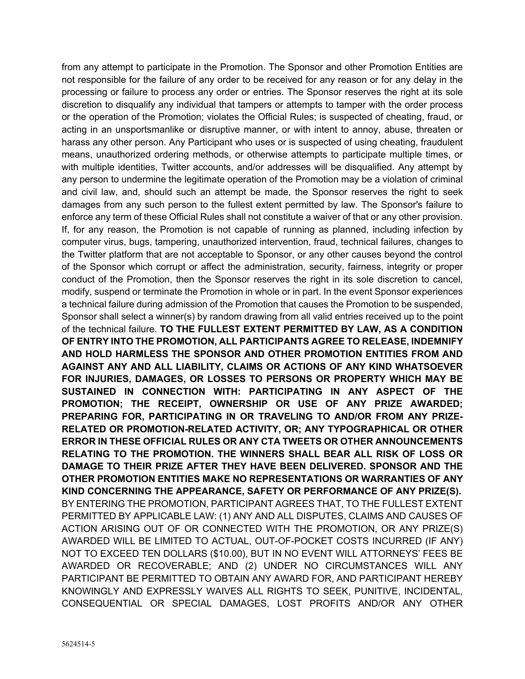from any attempt to participate in the Promotion. The Sponsor and other Promotion Entities are not responsible for the failure of any order to be received for any reason or for any delay in the processing or failure to process any order or entries. The Sponsor reserves the right at its sole discretion to disqualify any individual that tampers or attempts to tamper with the order process or the operation of the Promotion; violates the Official Rules; is suspected of cheating, fraud, or acting in an unsportsmanlike or disruptive manner, or with intent to annoy, abuse, threaten or harass any other person. Any Participant who uses or is suspected of using cheating, fraudulent means, unauthorized ordering methods, or otherwise attempts to participate multiple times, or with multiple identities, Twitter accounts, and/or addresses will be disqualified. Any attempt by any person to undermine the legitimate operation of the Promotion may be a violation of criminal and civil law, and, should such an attempt be made, the Sponsor reserves the right to seek damages from any such person to the fullest extent permitted by law. The Sponsor's failure to enforce any term of these Official Rules shall not constitute a waiver of that or any other provision. If, for any reason, the Promotion is not capable of running as planned, including infection by computer virus, bugs, tampering, unauthorized intervention, fraud, technical failures, changes to the Twitter platform that are not acceptable to Sponsor, or any other causes beyond the control of the Sponsor which corrupt or affect the administration, security, fairness, integrity or proper conduct of the Promotion, then the Sponsor reserves the right in its sole discretion to cancel, modify, suspend or terminate the Promotion in whole or in part. In the event Sponsor experiences a technical failure during admission of the Promotion that causes the Promotion to be suspended, Sponsor shall select a winner(s) by random drawing from all valid entries received up to the point of the technical failure. **TO THE FULLEST EXTENT PERMITTED BY LAW, AS A CONDITION OF ENTRY INTO THE PROMOTION, ALL PARTICIPANTS AGREE TO RELEASE, INDEMNIFY AND HOLD HARMLESS THE SPONSOR AND OTHER PROMOTION ENTITIES FROM AND AGAINST ANY AND ALL LIABILITY, CLAIMS OR ACTIONS OF ANY KIND WHATSOEVER FOR INJURIES, DAMAGES, OR LOSSES TO PERSONS OR PROPERTY WHICH MAY BE SUSTAINED IN CONNECTION WITH: PARTICIPATING IN ANY ASPECT OF THE PROMOTION; THE RECEIPT, OWNERSHIP OR USE OF ANY PRIZE AWARDED; PREPARING FOR, PARTICIPATING IN OR TRAVELING TO AND/OR FROM ANY PRIZE-RELATED OR PROMOTION-RELATED ACTIVITY, OR; ANY TYPOGRAPHICAL OR OTHER ERROR IN THESE OFFICIAL RULES OR ANY CTA TWEETS OR OTHER ANNOUNCEMENTS RELATING TO THE PROMOTION. THE WINNERS SHALL BEAR ALL RISK OF LOSS OR DAMAGE TO THEIR PRIZE AFTER THEY HAVE BEEN DELIVERED. SPONSOR AND THE OTHER PROMOTION ENTITIES MAKE NO REPRESENTATIONS OR WARRANTIES OF ANY KIND CONCERNING THE APPEARANCE, SAFETY OR PERFORMANCE OF ANY PRIZE(S).** BY ENTERING THE PROMOTION, PARTICIPANT AGREES THAT, TO THE FULLEST EXTENT PERMITTED BY APPLICABLE LAW: (1) ANY AND ALL DISPUTES, CLAIMS AND CAUSES OF ACTION ARISING OUT OF OR CONNECTED WITH THE PROMOTION, OR ANY PRIZE(S) AWARDED WILL BE LIMITED TO ACTUAL, OUT-OF-POCKET COSTS INCURRED (IF ANY) NOT TO EXCEED TEN DOLLARS (\$10.00), BUT IN NO EVENT WILL ATTORNEYS' FEES BE AWARDED OR RECOVERABLE; AND (2) UNDER NO CIRCUMSTANCES WILL ANY PARTICIPANT BE PERMITTED TO OBTAIN ANY AWARD FOR, AND PARTICIPANT HEREBY KNOWINGLY AND EXPRESSLY WAIVES ALL RIGHTS TO SEEK, PUNITIVE, INCIDENTAL, CONSEQUENTIAL OR SPECIAL DAMAGES, LOST PROFITS AND/OR ANY OTHER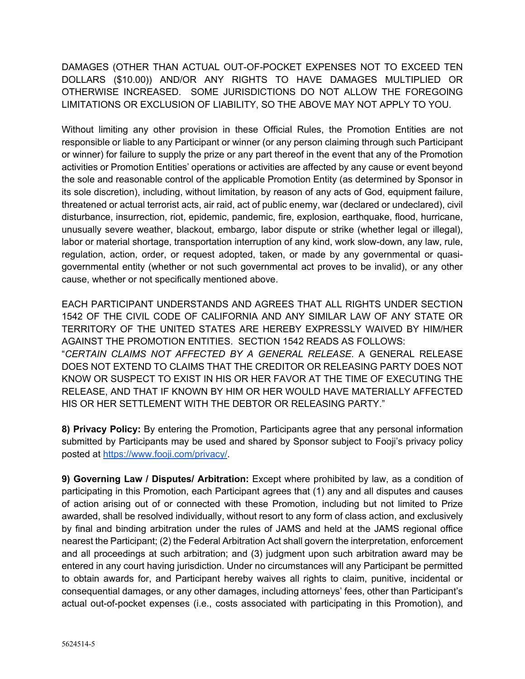DAMAGES (OTHER THAN ACTUAL OUT-OF-POCKET EXPENSES NOT TO EXCEED TEN DOLLARS (\$10.00)) AND/OR ANY RIGHTS TO HAVE DAMAGES MULTIPLIED OR OTHERWISE INCREASED. SOME JURISDICTIONS DO NOT ALLOW THE FOREGOING LIMITATIONS OR EXCLUSION OF LIABILITY, SO THE ABOVE MAY NOT APPLY TO YOU.

Without limiting any other provision in these Official Rules, the Promotion Entities are not responsible or liable to any Participant or winner (or any person claiming through such Participant or winner) for failure to supply the prize or any part thereof in the event that any of the Promotion activities or Promotion Entities' operations or activities are affected by any cause or event beyond the sole and reasonable control of the applicable Promotion Entity (as determined by Sponsor in its sole discretion), including, without limitation, by reason of any acts of God, equipment failure, threatened or actual terrorist acts, air raid, act of public enemy, war (declared or undeclared), civil disturbance, insurrection, riot, epidemic, pandemic, fire, explosion, earthquake, flood, hurricane, unusually severe weather, blackout, embargo, labor dispute or strike (whether legal or illegal), labor or material shortage, transportation interruption of any kind, work slow-down, any law, rule, regulation, action, order, or request adopted, taken, or made by any governmental or quasigovernmental entity (whether or not such governmental act proves to be invalid), or any other cause, whether or not specifically mentioned above.

EACH PARTICIPANT UNDERSTANDS AND AGREES THAT ALL RIGHTS UNDER SECTION 1542 OF THE CIVIL CODE OF CALIFORNIA AND ANY SIMILAR LAW OF ANY STATE OR TERRITORY OF THE UNITED STATES ARE HEREBY EXPRESSLY WAIVED BY HIM/HER AGAINST THE PROMOTION ENTITIES. SECTION 1542 READS AS FOLLOWS: "*CERTAIN CLAIMS NOT AFFECTED BY A GENERAL RELEASE*. A GENERAL RELEASE DOES NOT EXTEND TO CLAIMS THAT THE CREDITOR OR RELEASING PARTY DOES NOT KNOW OR SUSPECT TO EXIST IN HIS OR HER FAVOR AT THE TIME OF EXECUTING THE RELEASE, AND THAT IF KNOWN BY HIM OR HER WOULD HAVE MATERIALLY AFFECTED HIS OR HER SETTLEMENT WITH THE DEBTOR OR RELEASING PARTY."

**8) Privacy Policy:** By entering the Promotion, Participants agree that any personal information submitted by Participants may be used and shared by Sponsor subject to Fooji's privacy policy posted at https://www.fooji.com/privacy/.

**9) Governing Law / Disputes/ Arbitration:** Except where prohibited by law, as a condition of participating in this Promotion, each Participant agrees that (1) any and all disputes and causes of action arising out of or connected with these Promotion, including but not limited to Prize awarded, shall be resolved individually, without resort to any form of class action, and exclusively by final and binding arbitration under the rules of JAMS and held at the JAMS regional office nearest the Participant; (2) the Federal Arbitration Act shall govern the interpretation, enforcement and all proceedings at such arbitration; and (3) judgment upon such arbitration award may be entered in any court having jurisdiction. Under no circumstances will any Participant be permitted to obtain awards for, and Participant hereby waives all rights to claim, punitive, incidental or consequential damages, or any other damages, including attorneys' fees, other than Participant's actual out-of-pocket expenses (i.e., costs associated with participating in this Promotion), and